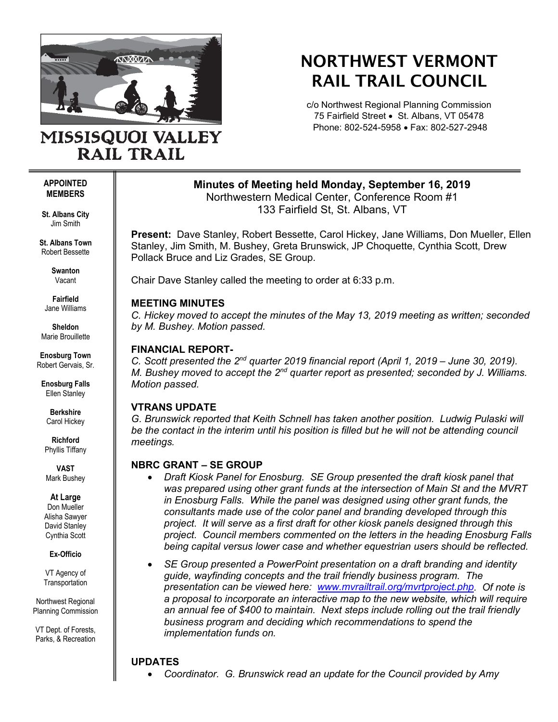

# NORTHWEST VERMONT RAIL TRAIL COUNCIL

c/o Northwest Regional Planning Commission 75 Fairfield Street • St. Albans, VT 05478 Phone: 802-524-5958 • Fax: 802-527-2948

## MISSISQUOI VALLEY **RAIL TRAIL**

#### **APPOINTED MEMBERS**

**St. Albans City** Jim Smith

**St. Albans Town** Robert Bessette

> **Swanton** Vacant

**Fairfield** Jane Williams

**Sheldon** Marie Brouillette

**Enosburg Town** Robert Gervais, Sr.

**Enosburg Falls** Ellen Stanley

> **Berkshire** Carol Hickey

**Richford** Phyllis Tiffany

**VAST** Mark Bushey

**At Large**

Don Mueller Alisha Sawyer David Stanley Cynthia Scott

**Ex-Officio**

VT Agency of **Transportation** 

Northwest Regional Planning Commission

VT Dept. of Forests, Parks, & Recreation **Minutes of Meeting held Monday, September 16, 2019**

Northwestern Medical Center, Conference Room #1 133 Fairfield St, St. Albans, VT

**Present:** Dave Stanley, Robert Bessette, Carol Hickey, Jane Williams, Don Mueller, Ellen Stanley, Jim Smith, M. Bushey, Greta Brunswick, JP Choquette, Cynthia Scott, Drew Pollack Bruce and Liz Grades, SE Group.

Chair Dave Stanley called the meeting to order at 6:33 p.m.

#### **MEETING MINUTES**

*C. Hickey moved to accept the minutes of the May 13, 2019 meeting as written; seconded by M. Bushey. Motion passed.* 

### **FINANCIAL REPORT-**

*C. Scott presented the 2nd quarter 2019 financial report (April 1, 2019 – June 30, 2019). M. Bushey moved to accept the 2nd quarter report as presented; seconded by J. Williams. Motion passed.*

## **VTRANS UPDATE**

*G. Brunswick reported that Keith Schnell has taken another position. Ludwig Pulaski will be the contact in the interim until his position is filled but he will not be attending council meetings.*

## **NBRC GRANT – SE GROUP**

- *Draft Kiosk Panel for Enosburg. SE Group presented the draft kiosk panel that was prepared using other grant funds at the intersection of Main St and the MVRT in Enosburg Falls. While the panel was designed using other grant funds, the consultants made use of the color panel and branding developed through this project. It will serve as a first draft for other kiosk panels designed through this project. Council members commented on the letters in the heading Enosburg Falls being capital versus lower case and whether equestrian users should be reflected.*
- *SE Group presented a PowerPoint presentation on a draft branding and identity guide, wayfinding concepts and the trail friendly business program. The presentation can be viewed here: [www.mvrailtrail.org/mvrtproject.php.](http://www.mvrailtrail.org/mvrtproject.php) Of note is a proposal to incorporate an interactive map to the new website, which will require an annual fee of \$400 to maintain. Next steps include rolling out the trail friendly business program and deciding which recommendations to spend the implementation funds on.*

## **UPDATES**

• *Coordinator. G. Brunswick read an update for the Council provided by Amy*